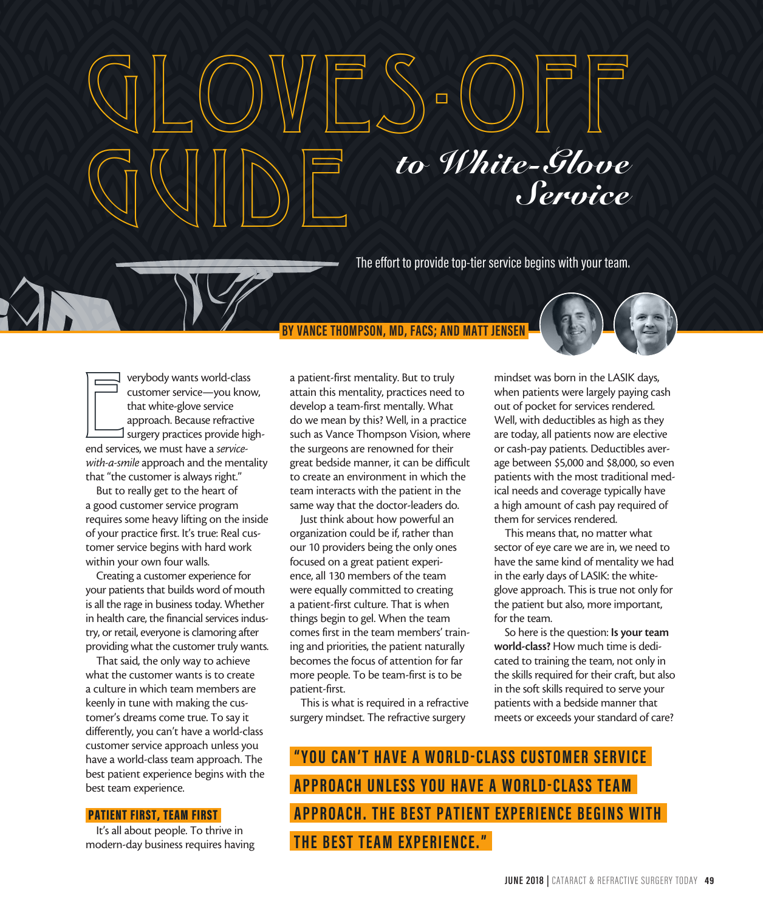The effort to provide top-tier service begins with your team.

to *White-Glove* 

## **BY VANCE THOMPSON, MD, FACS; AND MATT JENSEN**

verybody wants world-class<br>customer service—you know<br>that white-glove service<br>approach. Because refractive<br>surgery practices provide h<br>end services, we must have a *service*verybody wants world-class customer service—you know, that white-glove service approach. Because refractive surgery practices provide high*with-a-smile* approach and the mentality that "the customer is always right."

But to really get to the heart of a good customer service program requires some heavy lifting on the inside of your practice first. It's true: Real customer service begins with hard work within your own four walls.

Creating a customer experience for your patients that builds word of mouth is all the rage in business today. Whether in health care, the financial services industry, or retail, everyone is clamoring after providing what the customer truly wants.

That said, the only way to achieve what the customer wants is to create a culture in which team members are keenly in tune with making the customer's dreams come true. To say it differently, you can't have a world-class customer service approach unless you have a world-class team approach. The best patient experience begins with the best team experience.

#### PATIENT FIRST, TEAM FIRST

It's all about people. To thrive in modern-day business requires having a patient-first mentality. But to truly attain this mentality, practices need to develop a team-first mentally. What do we mean by this? Well, in a practice such as Vance Thompson Vision, where the surgeons are renowned for their great bedside manner, it can be difficult to create an environment in which the team interacts with the patient in the same way that the doctor-leaders do.

GLOVES-OFF

Just think about how powerful an organization could be if, rather than our 10 providers being the only ones focused on a great patient experience, all 130 members of the team were equally committed to creating a patient-first culture. That is when things begin to gel. When the team comes first in the team members' training and priorities, the patient naturally becomes the focus of attention for far more people. To be team-first is to be patient-first.

This is what is required in a refractive surgery mindset. The refractive surgery

mindset was born in the LASIK days, when patients were largely paying cash out of pocket for services rendered. Well, with deductibles as high as they are today, all patients now are elective or cash-pay patients. Deductibles average between \$5,000 and \$8,000, so even patients with the most traditional medical needs and coverage typically have a high amount of cash pay required of them for services rendered.

*Service*

This means that, no matter what sector of eye care we are in, we need to have the same kind of mentality we had in the early days of LASIK: the whiteglove approach. This is true not only for the patient but also, more important, for the team.

So here is the question: Is your team world-class? How much time is dedicated to training the team, not only in the skills required for their craft, but also in the soft skills required to serve your patients with a bedside manner that meets or exceeds your standard of care?

# **"YOU CAN'T HAVE A WORLD-CLASS CUSTOMER SERVICE APPROACH UNLESS YOU HAVE A WORLD-CLASS TEAM APPROACH. THE BEST PATIENT EXPERIENCE BEGINS WITH THE BEST TEAM EXPERIENCE."**